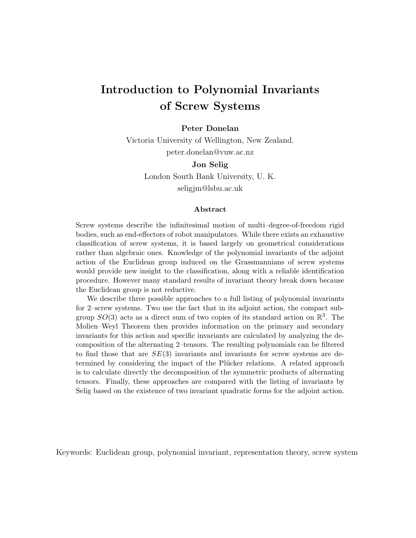# Introduction to Polynomial Invariants of Screw Systems

#### Peter Donelan

Victoria University of Wellington, New Zealand. peter.donelan@vuw.ac.nz

### Jon Selig

London South Bank University, U. K. seligjm@lsbu.ac.uk

#### Abstract

Screw systems describe the infinitesimal motion of multi–degree-of-freedom rigid bodies, such as end-effectors of robot manipulators. While there exists an exhaustive classification of screw systems, it is based largely on geometrical considerations rather than algebraic ones. Knowledge of the polynomial invariants of the adjoint action of the Euclidean group induced on the Grassmannians of screw systems would provide new insight to the classification, along with a reliable identification procedure. However many standard results of invariant theory break down because the Euclidean group is not reductive.

We describe three possible approaches to a full listing of polynomial invariants for 2–screw systems. Two use the fact that in its adjoint action, the compact subgroup  $SO(3)$  acts as a direct sum of two copies of its standard action on  $\mathbb{R}^3$ . The Molien–Weyl Theorem then provides information on the primary and secondary invariants for this action and specific invariants are calculated by analyzing the decomposition of the alternating 2–tensors. The resulting polynomials can be filtered to find those that are  $SE(3)$  invariants and invariants for screw systems are determined by considering the impact of the Plücker relations. A related approach is to calculate directly the decomposition of the symmetric products of alternating tensors. Finally, these approaches are compared with the listing of invariants by Selig based on the existence of two invariant quadratic forms for the adjoint action.

Keywords: Euclidean group, polynomial invariant, representation theory, screw system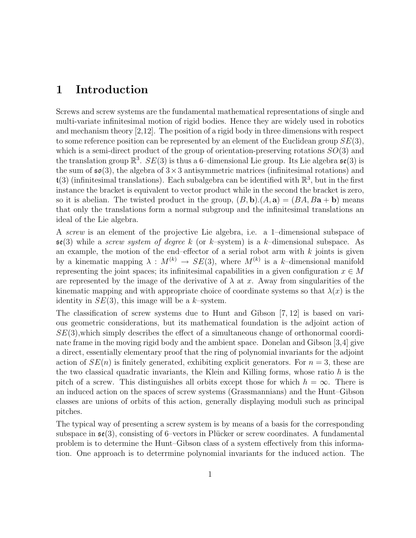### 1 Introduction

Screws and screw systems are the fundamental mathematical representations of single and multi-variate infinitesimal motion of rigid bodies. Hence they are widely used in robotics and mechanism theory [2,12]. The position of a rigid body in three dimensions with respect to some reference position can be represented by an element of the Euclidean group  $SE(3)$ , which is a semi-direct product of the group of orientation-preserving rotations  $SO(3)$  and the translation group  $\mathbb{R}^3$ .  $SE(3)$  is thus a 6-dimensional Lie group. Its Lie algebra  $\mathfrak{se}(3)$  is the sum of  $\mathfrak{so}(3)$ , the algebra of  $3\times 3$  antisymmetric matrices (infinitesimal rotations) and  $\mathfrak{t}(3)$  (infinitesimal translations). Each subalgebra can be identified with  $\mathbb{R}^3$ , but in the first instance the bracket is equivalent to vector product while in the second the bracket is zero, so it is abelian. The twisted product in the group,  $(B, \mathbf{b}) \cdot (A, \mathbf{a}) = (BA, Ba + \mathbf{b})$  means that only the translations form a normal subgroup and the infinitesimal translations an ideal of the Lie algebra.

A screw is an element of the projective Lie algebra, i.e. a 1–dimensional subspace of  $\mathfrak{se}(3)$  while a *screw system of degree k* (or k–system) is a k–dimensional subspace. As an example, the motion of the end–effector of a serial robot arm with  $k$  joints is given by a kinematic mapping  $\lambda : M^{(k)} \to SE(3)$ , where  $M^{(k)}$  is a k-dimensional manifold representing the joint spaces; its infinitesimal capabilities in a given configuration  $x \in M$ are represented by the image of the derivative of  $\lambda$  at x. Away from singularities of the kinematic mapping and with appropriate choice of coordinate systems so that  $\lambda(x)$  is the identity in  $SE(3)$ , this image will be a k–system.

The classification of screw systems due to Hunt and Gibson [7, 12] is based on various geometric considerations, but its mathematical foundation is the adjoint action of  $SE(3)$ , which simply describes the effect of a simultaneous change of orthonormal coordinate frame in the moving rigid body and the ambient space. Donelan and Gibson [3,4] give a direct, essentially elementary proof that the ring of polynomial invariants for the adjoint action of  $SE(n)$  is finitely generated, exhibiting explicit generators. For  $n = 3$ , these are the two classical quadratic invariants, the Klein and Killing forms, whose ratio  $h$  is the pitch of a screw. This distinguishes all orbits except those for which  $h = \infty$ . There is an induced action on the spaces of screw systems (Grassmannians) and the Hunt–Gibson classes are unions of orbits of this action, generally displaying moduli such as principal pitches.

The typical way of presenting a screw system is by means of a basis for the corresponding subspace in  $\mathfrak{se}(3)$ , consisting of 6–vectors in Plücker or screw coordinates. A fundamental problem is to determine the Hunt–Gibson class of a system effectively from this information. One approach is to deterrmine polynomial invariants for the induced action. The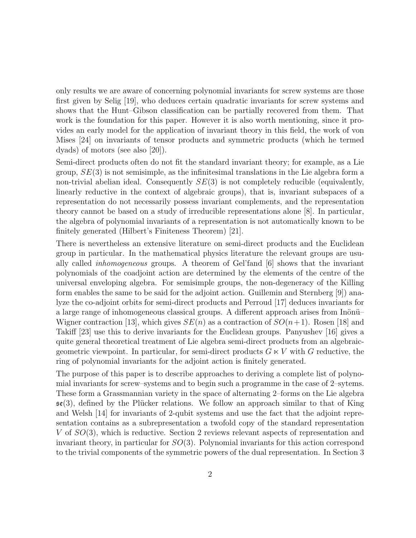only results we are aware of concerning polynomial invariants for screw systems are those first given by Selig [19], who deduces certain quadratic invariants for screw systems and shows that the Hunt–Gibson classification can be partially recovered from them. That work is the foundation for this paper. However it is also worth mentioning, since it provides an early model for the application of invariant theory in this field, the work of von Mises [24] on invariants of tensor products and symmetric products (which he termed dyads) of motors (see also [20]).

Semi-direct products often do not fit the standard invariant theory; for example, as a Lie group,  $SE(3)$  is not semisimple, as the infinitesimal translations in the Lie algebra form a non-trivial abelian ideal. Consequently  $SE(3)$  is not completely reducible (equivalently, linearly reductive in the context of algebraic groups), that is, invariant subspaces of a representation do not necessarily possess invariant complements, and the representation theory cannot be based on a study of irreducible representations alone [8]. In particular, the algebra of polynomial invariants of a representation is not automatically known to be finitely generated (Hilbert's Finiteness Theorem) [21].

There is nevertheless an extensive literature on semi-direct products and the Euclidean group in particular. In the mathematical physics literature the relevant groups are usually called inhomogeneous groups. A theorem of Gel'fand [6] shows that the invariant polynomials of the coadjoint action are determined by the elements of the centre of the universal enveloping algebra. For semisimple groups, the non-degeneracy of the Killing form enables the same to be said for the adjoint action. Guillemin and Sternberg [9]) analyze the co-adjoint orbits for semi-direct products and Perroud [17] deduces invariants for a large range of inhomogeneous classical groups. A different approach arises from Inönü– Wigner contraction [13], which gives  $SE(n)$  as a contraction of  $SO(n+1)$ . Rosen [18] and Takiff [23] use this to derive invariants for the Euclidean groups. Panyushev [16] gives a quite general theoretical treatment of Lie algebra semi-direct products from an algebraicgeometric viewpoint. In particular, for semi-direct products  $G \ltimes V$  with G reductive, the ring of polynomial invariants for the adjoint action is finitely generated.

The purpose of this paper is to describe approaches to deriving a complete list of polynomial invariants for screw–systems and to begin such a programme in the case of 2–sytems. These form a Grassmannian variety in the space of alternating 2–forms on the Lie algebra  $\mathfrak{se}(3)$ , defined by the Plücker relations. We follow an approach similar to that of King and Welsh [14] for invariants of 2-qubit systems and use the fact that the adjoint representation contains as a subrepresentation a twofold copy of the standard representation V of SO(3), which is reductive. Section 2 reviews relevant aspects of representation and invariant theory, in particular for  $SO(3)$ . Polynomial invariants for this action correspond to the trivial components of the symmetric powers of the dual representation. In Section 3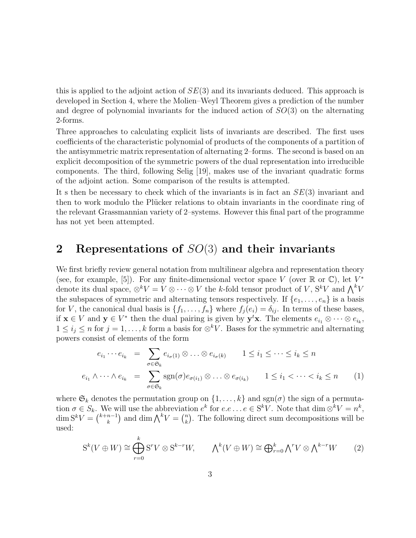this is applied to the adjoint action of  $SE(3)$  and its invariants deduced. This approach is developed in Section 4, where the Molien–Weyl Theorem gives a prediction of the number and degree of polynomial invariants for the induced action of  $SO(3)$  on the alternating 2-forms.

Three approaches to calculating explicit lists of invariants are described. The first uses coefficients of the characteristic polynomial of products of the components of a partition of the antisymmetric matrix representation of alternating 2–forms. The second is based on an explicit decomposition of the symmetric powers of the dual representation into irreducible components. The third, following Selig [19], makes use of the invariant quadratic forms of the adjoint action. Some comparison of the results is attempted.

It s then be necessary to check which of the invariants is in fact an  $SE(3)$  invariant and then to work modulo the Plücker relations to obtain invariants in the coordinate ring of the relevant Grassmannian variety of 2–systems. However this final part of the programme has not yet been attempted.

# 2 Representations of  $SO(3)$  and their invariants

We first briefly review general notation from multilinear algebra and representation theory (see, for example, [5]). For any finite-dimensional vector space V (over  $\mathbb R$  or  $\mathbb C$ ), let  $V^*$ denote its dual space,  $\otimes^k V = V \otimes \cdots \otimes V$  the k-fold tensor product of V,  $S^k V$  and  $\bigwedge^k V$ the subspaces of symmetric and alternating tensors respectively. If  $\{e_1, \ldots, e_n\}$  is a basis for V, the canonical dual basis is  $\{f_1, \ldots, f_n\}$  where  $f_j(e_i) = \delta_{ij}$ . In terms of these bases, if  $\mathbf{x} \in V$  and  $\mathbf{y} \in V^*$  then the dual pairing is given by  $\mathbf{y}^t\mathbf{x}$ . The elements  $e_{i_1} \otimes \cdots \otimes e_{i_k}$ ,  $1 \leq i_j \leq n$  for  $j = 1, \ldots, k$  form a basis for  $\otimes^k V$ . Bases for the symmetric and alternating powers consist of elements of the form

$$
e_{i_1} \cdots e_{i_k} = \sum_{\sigma \in \mathfrak{S}_k} e_{i_{\sigma}(1)} \otimes \ldots \otimes e_{i_{\sigma}(k)} \qquad 1 \le i_1 \le \cdots \le i_k \le n
$$
  

$$
e_{i_1} \wedge \cdots \wedge e_{i_k} = \sum_{\sigma \in \mathfrak{S}_k} \text{sgn}(\sigma) e_{\sigma(i_1)} \otimes \ldots \otimes e_{\sigma(i_k)} \qquad 1 \le i_1 < \cdots < i_k \le n \qquad (1)
$$

where  $\mathfrak{S}_k$  denotes the permutation group on  $\{1,\ldots,k\}$  and  $sgn(\sigma)$  the sign of a permutation  $\sigma \in S_k$ . We will use the abbreviation  $e^k$  for  $e.e \ldots e \in S^k V$ . Note that  $\dim \otimes^k V = n^k$ ,  $\dim S^k V = \binom{k+n-1}{k}$  $\binom{n-1}{k}$  and dim  $\bigwedge^k V = \binom{n}{k}$  $\binom{n}{k}$ . The following direct sum decompositions will be used:

$$
S^{k}(V \oplus W) \cong \bigoplus_{r=0}^{k} S^{r}V \otimes S^{k-r}W, \qquad \Lambda^{k}(V \oplus W) \cong \bigoplus_{r=0}^{k} \Lambda^{r}V \otimes \Lambda^{k-r}W \qquad (2)
$$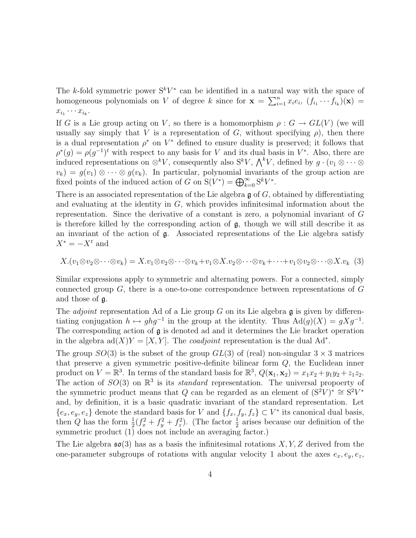The k-fold symmetric power  $S^kV^*$  can be identified in a natural way with the space of homogeneous polynomials on V of degree k since for  $\mathbf{x} = \sum_{i=1}^{n} x_i e_i, (f_{i_1} \cdots f_{i_k})(\mathbf{x}) =$  $x_{i_1}\cdots x_{i_k}$ .

If G is a Lie group acting on V, so there is a homomorphism  $\rho: G \to GL(V)$  (we will usually say simply that V is a representation of G, without specifying  $\rho$ ), then there is a dual representation  $\rho^*$  on  $V^*$  defined to ensure duality is preserved; it follows that  $\rho^*(g) = \rho(g^{-1})^t$  with respect to any basis for V and its dual basis in V<sup>\*</sup>. Also, there are induced representations on  $\otimes^k V$ , consequently also  $S^k V$ ,  $\bigwedge^k V$ , defined by  $g \cdot (v_1 \otimes \cdots \otimes v_k)$  $v_k$ ) =  $g(v_1) \otimes \cdots \otimes g(v_k)$ . In particular, polynomial invariants of the group action are fixed points of the induced action of G on  $S(V^*) = \bigoplus_{k=0}^{\infty} S^k V^*$ .

There is an associated representation of the Lie algebra  $\mathfrak g$  of  $G$ , obtained by differentiating and evaluating at the identity in  $G$ , which provides infinitesimal information about the representation. Since the derivative of a constant is zero, a polynomial invariant of G is therefore killed by the corresponding action of  $\mathfrak{g}$ , though we will still describe it as an invariant of the action of  $\mathfrak{g}$ . Associated representations of the Lie algebra satisfy  $X^* = -X^t$  and

$$
X.(v_1 \otimes v_2 \otimes \cdots \otimes v_k) = X.v_1 \otimes v_2 \otimes \cdots \otimes v_k + v_1 \otimes X.v_2 \otimes \cdots \otimes v_k + \cdots + v_1 \otimes v_2 \otimes \cdots \otimes X.v_k \tag{3}
$$

Similar expressions apply to symmetric and alternating powers. For a connected, simply connected group  $G$ , there is a one-to-one correspondence between representations of  $G$ and those of g.

The *adjoint* representation Ad of a Lie group G on its Lie algebra  $\mathfrak g$  is given by differentiating conjugation  $h \mapsto ghg^{-1}$  in the group at the identity. Thus  $\text{Ad}(g)(X) = gXg^{-1}$ . The corresponding action of g is denoted ad and it determines the Lie bracket operation in the algebra  $ad(X)Y = [X, Y]$ . The *coadjoint* representation is the dual Ad<sup>\*</sup>.

The group  $SO(3)$  is the subset of the group  $GL(3)$  of (real) non-singular  $3 \times 3$  matrices that preserve a given symmetric positive-definite bilinear form Q, the Euclidean inner product on  $V = \mathbb{R}^3$ . In terms of the standard basis for  $\mathbb{R}^3$ ,  $Q(\mathbf{x}_1, \mathbf{x}_2) = x_1x_2 + y_1y_2 + z_1z_2$ . The action of  $SO(3)$  on  $\mathbb{R}^3$  is its *standard* representation. The universal propoerty of the symmetric product means that Q can be regarded as an element of  $(S^2V)^* \cong S^2V^*$ and, by definition, it is a basic quadratic invariant of the standard representation. Let  $\{e_x, e_y, e_z\}$  denote the standard basis for V and  $\{f_x, f_y, f_z\} \subset V^*$  its canonical dual basis, then Q has the form  $\frac{1}{2}(f_x^2 + f_y^2 + f_z^2)$ . (The factor  $\frac{1}{2}$  arises because our definition of the symmetric product (1) does not include an averaging factor.)

The Lie algebra  $\mathfrak{so}(3)$  has as a basis the infinitesimal rotations X, Y, Z derived from the one-parameter subgroups of rotations with angular velocity 1 about the axes  $e_x, e_y, e_z$ ,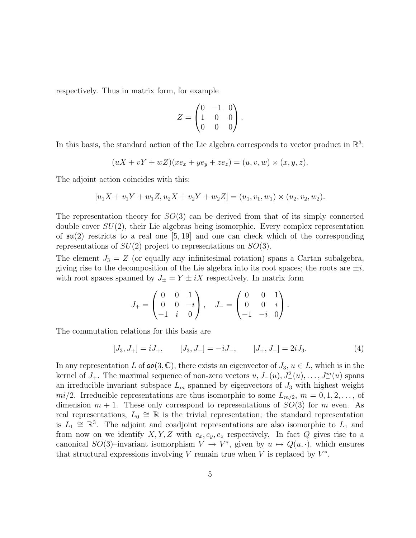respectively. Thus in matrix form, for example

$$
Z = \begin{pmatrix} 0 & -1 & 0 \\ 1 & 0 & 0 \\ 0 & 0 & 0 \end{pmatrix}.
$$

In this basis, the standard action of the Lie algebra corresponds to vector product in  $\mathbb{R}^3$ :

$$
(uX + vY + wZ)(xe_x + ye_y + ze_z) = (u, v, w) \times (x, y, z).
$$

The adjoint action coincides with this:

$$
[u_1X + v_1Y + w_1Z, u_2X + v_2Y + w_2Z] = (u_1, v_1, w_1) \times (u_2, v_2, w_2).
$$

The representation theory for  $SO(3)$  can be derived from that of its simply connected double cover  $SU(2)$ , their Lie algebras being isomorphic. Every complex representation of  $\mathfrak{su}(2)$  restricts to a real one [5, 19] and one can check which of the corresponding representations of  $SU(2)$  project to representations on  $SO(3)$ .

The element  $J_3 = Z$  (or equally any infinitesimal rotation) spans a Cartan subalgebra, giving rise to the decomposition of the Lie algebra into its root spaces; the roots are  $\pm i$ , with root spaces spanned by  $J_{\pm} = Y \pm iX$  respectively. In matrix form

$$
J_{+} = \begin{pmatrix} 0 & 0 & 1 \\ 0 & 0 & -i \\ -1 & i & 0 \end{pmatrix}, \quad J_{-} = \begin{pmatrix} 0 & 0 & 1 \\ 0 & 0 & i \\ -1 & -i & 0 \end{pmatrix}.
$$

The commutation relations for this basis are

$$
[J_3, J_+] = iJ_+, \t [J_3, J_-] = -iJ_-, \t [J_+, J_-] = 2iJ_3.
$$
 (4)

In any representation L of  $\mathfrak{so}(3,\mathbb{C})$ , there exists an eigenvector of  $J_3, u \in L$ , which is in the kernel of  $J_+$ . The maximal sequence of non-zero vectors  $u, J_-(u), J^2_-(u), \ldots, J^m_-(u)$  spans an irreducible invariant subspace  $L_m$  spanned by eigenvectors of  $J_3$  with highest weight  $mi/2$ . Irreducible representations are thus isomorphic to some  $L_{m/2}$ ,  $m = 0, 1, 2, \ldots$ , of dimension  $m + 1$ . These only correspond to representations of  $SO(3)$  for m even. As real representations,  $L_0 \cong \mathbb{R}$  is the trivial representation; the standard representation is  $L_1 \cong \mathbb{R}^3$ . The adjoint and coadjoint representations are also isomorphic to  $L_1$  and from now on we identify X, Y, Z with  $e_x, e_y, e_z$  respectively. In fact Q gives rise to a canonical SO(3)–invariant isomorphism  $V \to V^*$ , given by  $u \mapsto Q(u, \cdot)$ , which ensures that structural expressions involving  $V$  remain true when  $V$  is replaced by  $V^*$ .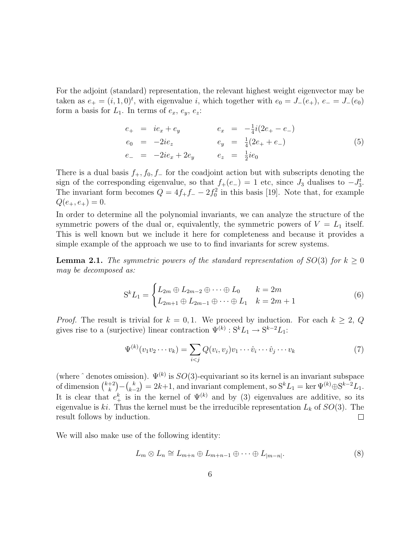For the adjoint (standard) representation, the relevant highest weight eigenvector may be taken as  $e_{+} = (i, 1, 0)^{t}$ , with eigenvalue i, which together with  $e_{0} = J_{-}(e_{+}), e_{-} = J_{-}(e_{0})$ form a basis for  $L_1$ . In terms of  $e_x$ ,  $e_y$ ,  $e_z$ :

$$
e_{+} = ie_{x} + e_{y} \t e_{x} = -\frac{1}{4}i(2e_{+} - e_{-})
$$
  
\n
$$
e_{0} = -2ie_{z} \t e_{y} = \frac{1}{4}(2e_{+} + e_{-})
$$
  
\n
$$
e_{-} = -2ie_{x} + 2e_{y} \t e_{z} = \frac{1}{2}ie_{0}
$$
\n(5)

There is a dual basis  $f_+, f_0, f_0$  for the coadjoint action but with subscripts denoting the sign of the corresponding eigenvalue, so that  $f_+(e_-) = 1$  etc, since  $J_3$  dualises to  $-J_3^t$ . The invariant form becomes  $Q = 4f_+f_- - 2f_0^2$  in this basis [19]. Note that, for example  $Q(e_{+}, e_{+}) = 0.$ 

In order to determine all the polynomial invariants, we can analyze the structure of the symmetric powers of the dual or, equivalently, the symmetric powers of  $V = L_1$  itself. This is well known but we include it here for completeness and because it provides a simple example of the approach we use to to find invariants for screw systems.

**Lemma 2.1.** The symmetric powers of the standard representation of  $SO(3)$  for  $k \geq 0$ may be decomposed as:

$$
S^{k}L_{1} = \begin{cases} L_{2m} \oplus L_{2m-2} \oplus \cdots \oplus L_{0} & k = 2m \\ L_{2m+1} \oplus L_{2m-1} \oplus \cdots \oplus L_{1} & k = 2m+1 \end{cases}
$$
(6)

*Proof.* The result is trivial for  $k = 0, 1$ . We proceed by induction. For each  $k \geq 2$ , Q gives rise to a (surjective) linear contraction  $\Psi^{(k)}$ :  $S^{k}L_1 \rightarrow S^{k-2}L_1$ :

$$
\Psi^{(k)}(v_1v_2\cdots v_k) = \sum_{i < j} Q(v_i, v_j)v_1\cdots\hat{v}_i\cdots\hat{v}_j\cdots v_k \tag{7}
$$

(where  $\hat{ }$  denotes omission).  $\Psi^{(k)}$  is  $SO(3)$ -equivariant so its kernel is an invariant subspace of dimension  $\binom{k+2}{k}$  $\binom{k}{k} - \binom{k}{k-1}$  $(k-2) = 2k+1$ , and invariant complement, so  $S^k L_1 = \ker \Psi^{(k)} \oplus S^{k-2} L_1$ . It is clear that  $e_+^k$  is in the kernel of  $\Psi^{(k)}$  and by (3) eigenvalues are additive, so its eigenvalue is ki. Thus the kernel must be the irreducible representation  $L_k$  of  $SO(3)$ . The result follows by induction.  $\Box$ 

We will also make use of the following identity:

$$
L_m \otimes L_n \cong L_{m+n} \oplus L_{m+n-1} \oplus \cdots \oplus L_{|m-n|}.\tag{8}
$$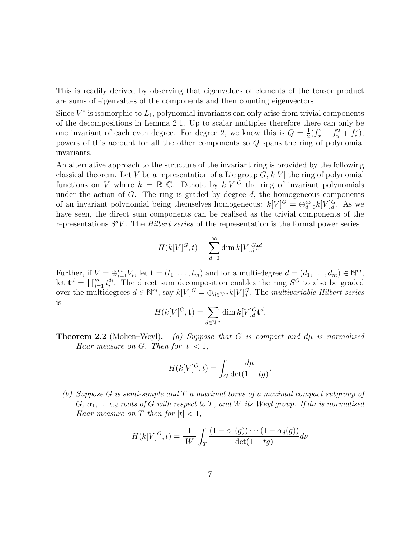This is readily derived by observing that eigenvalues of elements of the tensor product are sums of eigenvalues of the components and then counting eigenvectors.

Since  $V^*$  is isomorphic to  $L_1$ , polynomial invariants can only arise from trivial components of the decompositions in Lemma 2.1. Up to scalar multiples therefore there can only be one invariant of each even degree. For degree 2, we know this is  $Q = \frac{1}{2}$  $\frac{1}{2}(f_x^2+f_y^2+f_z^2);$ powers of this account for all the other components so Q spans the ring of polynomial invariants.

An alternative approach to the structure of the invariant ring is provided by the following classical theorem. Let V be a representation of a Lie group  $G, k[V]$  the ring of polynomial functions on V where  $k = \mathbb{R}, \mathbb{C}$ . Denote by  $k[V]^{\tilde{G}}$  the ring of invariant polynomials under the action of  $G$ . The ring is graded by degree  $d$ , the homogeneous components of an invariant polynomial being themselves homogeneous:  $k[V]$ <sup> $G = \bigoplus_{d=0}^{\infty} k[V]_d^G$ . As we</sup> have seen, the direct sum components can be realised as the trivial components of the representations  $S^dV$ . The *Hilbert series* of the representation is the formal power series

$$
H(k[V]^{G},t) = \sum_{d=0}^{\infty} \dim k[V]_{d}^{G} t^{d}
$$

Further, if  $V = \bigoplus_{i=1}^m V_i$ , let  $\mathbf{t} = (t_1, \ldots, t_m)$  and for a multi-degree  $d = (d_1, \ldots, d_m) \in \mathbb{N}^m$ , let  $\mathbf{t}^d = \prod_{i=1}^m t_i^{d_i}$ . The direct sum decomposition enables the ring  $S^G$  to also be graded over the multidegrees  $d \in \mathbb{N}^m$ , say  $k[V]^G = \bigoplus_{d \in \mathbb{N}^m} k[V]^G_d$ . The multivariable Hilbert series is

$$
H(k[V]^{G}, \mathbf{t}) = \sum_{d \in \mathbb{N}^{m}} \dim k[V]_{d}^{G} \mathbf{t}^{d}.
$$

**Theorem 2.2** (Molien–Weyl). (a) Suppose that G is compact and  $d\mu$  is normalised Haar measure on G. Then for  $|t| < 1$ ,

$$
H(k[V]^{G},t) = \int_{G} \frac{d\mu}{\det(1 - tg)}.
$$

(b) Suppose G is semi-simple and T a maximal torus of a maximal compact subgroup of  $G, \alpha_1, \ldots, \alpha_d$  roots of G with respect to T, and W its Weyl group. If dv is normalised Haar measure on T then for  $|t| < 1$ ,

$$
H(k[V]^{G}, t) = \frac{1}{|W|} \int_{T} \frac{(1 - \alpha_{1}(g)) \cdots (1 - \alpha_{d}(g))}{\det(1 - tg)} d\nu
$$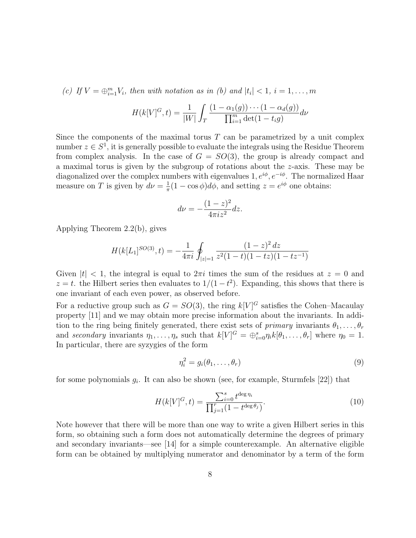(c) If  $V = \bigoplus_{i=1}^{m} V_i$ , then with notation as in (b) and  $|t_i| < 1$ ,  $i = 1, \ldots, m$ 

$$
H(k[V]^{G},t) = \frac{1}{|W|} \int_{T} \frac{(1 - \alpha_{1}(g)) \cdots (1 - \alpha_{d}(g))}{\prod_{i=1}^{m} \det(1 - t_{i}g)} d\nu
$$

Since the components of the maximal torus  $T$  can be parametrized by a unit complex number  $z \in S^1$ , it is generally possible to evaluate the integrals using the Residue Theorem from complex analysis. In the case of  $G = SO(3)$ , the group is already compact and a maximal torus is given by the subgroup of rotations about the z-axis. These may be diagonalized over the complex numbers with eigenvalues 1,  $e^{i\phi}$ ,  $e^{-i\phi}$ . The normalized Haar measure on T is given by  $d\nu = \frac{1}{\pi}$  $\frac{1}{\pi}(1 - \cos \phi)d\phi$ , and setting  $z = e^{i\phi}$  one obtains:

$$
d\nu = -\frac{(1-z)^2}{4\pi iz^2}dz.
$$

Applying Theorem 2.2(b), gives

$$
H(k[L_1]^{SO(3)}, t) = -\frac{1}{4\pi i} \oint_{|z|=1} \frac{(1-z)^2 dz}{z^2(1-t)(1-tz)(1-tz^{-1})}
$$

Given  $|t| < 1$ , the integral is equal to  $2\pi i$  times the sum of the residues at  $z = 0$  and  $z = t$ . the Hilbert series then evaluates to  $1/(1-t^2)$ . Expanding, this shows that there is one invariant of each even power, as observed before.

For a reductive group such as  $G = SO(3)$ , the ring  $k[V]^G$  satisfies the Cohen–Macaulay property [11] and we may obtain more precise information about the invariants. In addition to the ring being finitely generated, there exist sets of primary invariants  $\theta_1, \ldots, \theta_r$ and secondary invariants  $\eta_1, \ldots, \eta_s$  such that  $k[V]^G = \bigoplus_{i=0}^s \eta_i k[\theta_1, \ldots, \theta_r]$  where  $\eta_0 = 1$ . In particular, there are syzygies of the form

$$
\eta_i^2 = g_i(\theta_1, \dots, \theta_r) \tag{9}
$$

for some polynomials  $g_i$ . It can also be shown (see, for example, Sturmfels [22]) that

$$
H(k[V]^{G},t) = \frac{\sum_{i=0}^{s} t^{\deg \eta_{i}}}{\prod_{j=1}^{r} (1 - t^{\deg \theta_{j}})}.
$$
\n(10)

Note however that there will be more than one way to write a given Hilbert series in this form, so obtaining such a form does not automatically determine the degrees of primary and secondary invariants—see [14] for a simple counterexample. An alternative eligible form can be obtained by multiplying numerator and denominator by a term of the form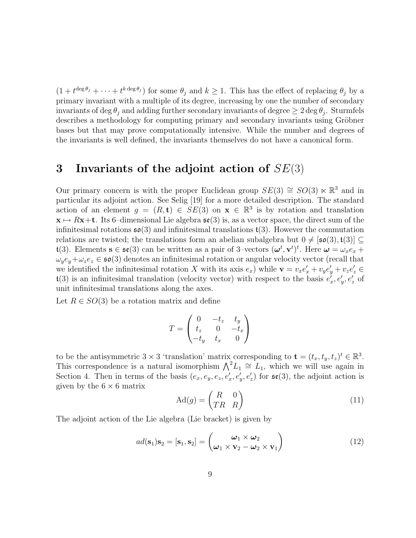$(1+t^{\deg\theta_j}+\cdots+t^{k\deg\theta_j})$  for some  $\theta_j$  and  $k\geq 1$ . This has the effect of replacing  $\theta_j$  by a primary invariant with a multiple of its degree, increasing by one the number of secondary invariants of deg  $\theta_j$  and adding further secondary invariants of degree  $\geq 2\deg\theta_j$ . Sturmfels describes a methodology for computing primary and secondary invariants using Gröbner bases but that may prove computationally intensive. While the number and degrees of the invariants is well defined, the invariants themselves do not have a canonical form.

# 3 Invariants of the adjoint action of  $SE(3)$

Our primary concern is with the proper Euclidean group  $SE(3) \cong SO(3) \ltimes \mathbb{R}^3$  and in particular its adjoint action. See Selig [19] for a more detailed description. The standard action of an element  $g = (R, t) \in SE(3)$  on  $\mathbf{x} \in \mathbb{R}^3$  is by rotation and translation  $x \mapsto Rx+t$ . Its 6–dimensional Lie algebra  $\mathfrak{se}(3)$  is, as a vector space, the direct sum of the infinitesimal rotations  $\mathfrak{so}(3)$  and infinitesimal translations  $\mathfrak{t}(3)$ . However the commutation relations are twisted; the translations form an abelian subalgebra but  $0 \neq [\mathfrak{so}(3), \mathfrak{t}(3)] \subseteq$  $\mathfrak{t}(3)$ . Elements  $s \in \mathfrak{se}(3)$  can be written as a pair of 3-vectors  $(\boldsymbol{\omega}^t, \mathbf{v}^t)^t$ . Here  $\boldsymbol{\omega} = \omega_x e_x + \omega_y e_y$  $\omega_y e_y + \omega_z e_z \in \mathfrak{so}(3)$  denotes an infinitesimal rotation or angular velocity vector (recall that we identified the infinitesimal rotation X with its axis  $e_x$ ) while  $\mathbf{v} = v_x e'_x + v_y e'_y + v_z e'_z \in$  $\mathfrak{t}(3)$  is an infinitesimal translation (velocity vector) with respect to the basis  $e_x^{\prime}, e_y^{\prime}, e_z^{\prime}$  of unit infinitesimal translations along the axes.

Let  $R \in SO(3)$  be a rotation matrix and define

$$
T = \begin{pmatrix} 0 & -t_z & t_y \\ t_z & 0 & -t_x \\ -t_y & t_x & 0 \end{pmatrix}
$$

to be the antisymmetric 3  $\times$  3 'translation' matrix corresponding to  $\mathbf{t} = (t_x, t_y, t_z)^t \in \mathbb{R}^3$ . This correspondence is a natural isomorphism  $\bigwedge^2 L_1 \cong L_1$ , which we will use again in Section 4. Then in terms of the basis  $(e_x, e_y, e_z, e'_x, e'_y, e'_z)$  for  $\mathfrak{se}(3)$ , the adjoint action is given by the  $6 \times 6$  matrix

$$
\mathrm{Ad}(g) = \begin{pmatrix} R & 0 \\ TR & R \end{pmatrix} \tag{11}
$$

The adjoint action of the Lie algebra (Lie bracket) is given by

$$
ad(\mathbf{s}_1)\mathbf{s}_2 = [\mathbf{s}_1, \mathbf{s}_2] = \begin{pmatrix} \boldsymbol{\omega}_1 \times \boldsymbol{\omega}_2 \\ \boldsymbol{\omega}_1 \times \mathbf{v}_2 - \boldsymbol{\omega}_2 \times \mathbf{v}_1 \end{pmatrix}
$$
(12)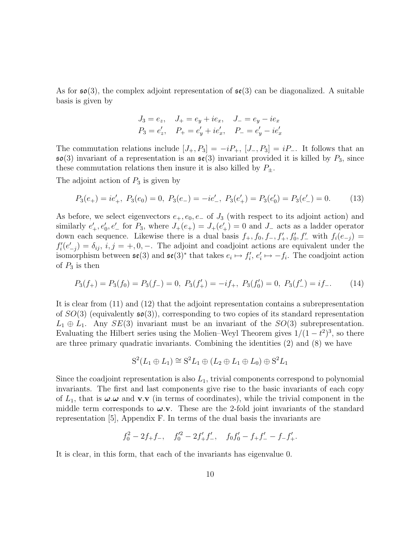As for  $\mathfrak{so}(3)$ , the complex adjoint representation of  $\mathfrak{se}(3)$  can be diagonalized. A suitable basis is given by

$$
J_3 = e_z, \quad J_+ = e_y + ie_x, \quad J_- = e_y - ie_x
$$
  

$$
P_3 = e'_z, \quad P_+ = e'_y + ie'_x, \quad P_- = e'_y - ie'_x
$$

The commutation relations include  $[J_+, P_3] = -iP_+, [J_-, P_3] = iP_-.$  It follows that an  $\mathfrak{so}(3)$  invariant of a representation is an  $\mathfrak{se}(3)$  invariant provided it is killed by  $P_3$ , since these commutation relations then insure it is also killed by  $P_{\pm}$ .

The adjoint action of  $P_3$  is given by

$$
P_3(e_+) = ie'_+, \ P_3(e_0) = 0, \ P_3(e_-) = -ie'_-, \ P_3(e'_+) = P_3(e'_0) = P_3(e'_-) = 0. \tag{13}
$$

As before, we select eigenvectors  $e_+, e_0, e_-$  of  $J_3$  (with respect to its adjoint action) and similarly  $e'_{+}$ ,  $e'_{0}$ ,  $e'_{-}$  for  $P_{3}$ , where  $J_{+}(e_{+}) = J_{+}(e'_{+}) = 0$  and  $J_{-}$  acts as a ladder operator down each sequence. Likewise there is a dual basis  $f_+, f_0, f_-, f'_+, f'_0, f'_-$  with  $f_i(e_{-j}) =$  $f_i'(e'_{-j}) = \delta_{ij}, i, j = +, 0, -$ . The adjoint and coadjoint actions are equivalent under the isomorphism between  $\mathfrak{se}(3)$  and  $\mathfrak{se}(3)^*$  that takes  $e_i \mapsto f'_i, e'_i \mapsto -f_i$ . The coadjoint action of  $P_3$  is then

$$
P_3(f_+) = P_3(f_0) = P_3(f_-) = 0, \ P_3(f_+') = -if_+, \ P_3(f_0') = 0, \ P_3(f_-') = if_-.
$$
 (14)

It is clear from (11) and (12) that the adjoint representation contains a subrepresentation of  $SO(3)$  (equivalently  $\mathfrak{so}(3)$ ), corresponding to two copies of its standard representation  $L_1 \oplus L_1$ . Any  $SE(3)$  invariant must be an invariant of the  $SO(3)$  subrepresentation. Evaluating the Hilbert series using the Molien–Weyl Theorem gives  $1/(1-t^2)^3$ , so there are three primary quadratic invariants. Combining the identities (2) and (8) we have

$$
S^2(L_1 \oplus L_1) \cong S^2L_1 \oplus (L_2 \oplus L_1 \oplus L_0) \oplus S^2L_1
$$

Since the coadjoint representation is also  $L_1$ , trivial components correspond to polynomial invariants. The first and last components give rise to the basic invariants of each copy of  $L_1$ , that is  $\omega \omega$  and **v**.**v** (in terms of coordinates), while the trivial component in the middle term corresponds to  $\omega$ .v. These are the 2-fold joint invariants of the standard representation [5], Appendix F. In terms of the dual basis the invariants are

$$
f_0^2 - 2f_+f_-,
$$
  $f_0'^2 - 2f'_+f'_-,$   $f_0f'_0 - f_+f'_- - f_-f'_+.$ 

It is clear, in this form, that each of the invariants has eigenvalue 0.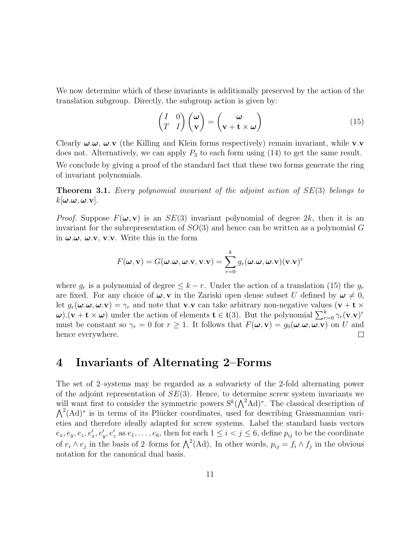We now determine which of these invariants is additionally preserved by the action of the translation subgroup. Directly, the subgroup action is given by:

$$
\begin{pmatrix} I & 0 \\ T & I \end{pmatrix} \begin{pmatrix} \omega \\ \mathbf{v} \end{pmatrix} = \begin{pmatrix} \omega \\ \mathbf{v} + \mathbf{t} \times \omega \end{pmatrix}
$$
(15)

Clearly  $\omega.\omega$ ,  $\omega.\mathbf{v}$  (the Killing and Klein forms respectively) remain invariant, while **v**.**v** does not. Alternatively, we can apply  $P_3$  to each form using (14) to get the same result. We conclude by giving a proof of the standard fact that these two forms generate the ring of invariant polynomials.

**Theorem 3.1.** Every polynomial invariant of the adjoint action of  $SE(3)$  belongs to  $k[\boldsymbol{\omega}.\boldsymbol{\omega},\boldsymbol{\omega}.\mathbf{v}].$ 

*Proof.* Suppose  $F(\omega, v)$  is an  $SE(3)$  invariant polynomial of degree 2k, then it is an invariant for the subrepresentation of  $SO(3)$  and hence can be written as a polynomial G in  $\omega$ . $\omega$ ,  $\omega$ .v, v.v. Write this in the form

$$
F(\boldsymbol{\omega}, \mathbf{v}) = G(\boldsymbol{\omega}.\boldsymbol{\omega}, \boldsymbol{\omega}.\mathbf{v}, \mathbf{v}.\mathbf{v}) = \sum_{r=0}^{k} g_r(\boldsymbol{\omega}.\boldsymbol{\omega}, \boldsymbol{\omega}.\mathbf{v})(\mathbf{v}.\mathbf{v})^r
$$

where  $g_r$  is a polynomial of degree  $\leq k-r$ . Under the action of a translation (15) the  $g_r$ are fixed. For any choice of  $\omega$ , v in the Zariski open dense subset U defined by  $\omega \neq 0$ , let  $g_r(\boldsymbol{\omega}.\boldsymbol{\omega}, \boldsymbol{\omega}.\mathbf{v}) = \gamma_r$  and note that **v**.**v** can take arbitrary non-negative values (**v** + **t**  $\times$  $\omega$ ).  $(\mathbf{v} + \mathbf{t} \times \omega)$  under the action of elements  $\mathbf{t} \in \mathfrak{t}(3)$ . But the polynomial  $\sum_{r=0}^{k} \gamma_r(\mathbf{v} \cdot \mathbf{v})^r$ must be constant so  $\gamma_r = 0$  for  $r \ge 1$ . It follows that  $F(\omega, \mathbf{v}) = g_0(\omega, \omega, \omega, \mathbf{v})$  on U and hence everywhere.  $\Box$ 

### 4 Invariants of Alternating 2–Forms

The set of 2–systems may be regarded as a subvariety of the 2-fold alternating power of the adjoint representation of  $SE(3)$ . Hence, to determine screw system invariants we will want first to consider the symmetric powers  $S^k(\Lambda^2\text{Ad})^*$ . The classical description of  $\Lambda^2(\text{Ad})^*$  is in terms of its Plücker coordinates, used for describing Grassmannian varieties and therefore ideally adapted for screw systems. Label the standard basis vectors  $e_x, e_y, e_z, e'_x, e'_y, e'_z$  as  $e_1, \ldots, e_6$ , then for each  $1 \leq i < j \leq 6$ , define  $p_{ij}$  to be the coordinate of  $e_i \wedge e_j$  in the basis of 2–forms for  $\bigwedge^2(\mathrm{Ad})$ . In other words,  $p_{ij} = f_i \wedge f_j$  in the obvious notation for the canonical dual basis.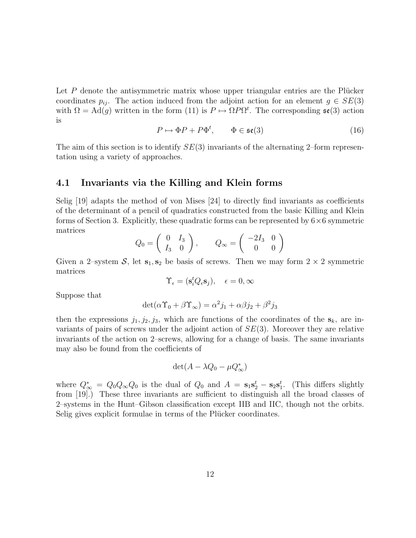Let  $P$  denote the antisymmetric matrix whose upper triangular entries are the Plücker coordinates  $p_{ij}$ . The action induced from the adjoint action for an element  $g \in SE(3)$ with  $\Omega = \text{Ad}(g)$  written in the form (11) is  $P \mapsto \Omega P \Omega^t$ . The corresponding  $\mathfrak{se}(3)$  action is

$$
P \mapsto \Phi P + P \Phi^t, \qquad \Phi \in \mathfrak{se}(3)
$$
 (16)

The aim of this section is to identify  $SE(3)$  invariants of the alternating 2–form representation using a variety of approaches.

#### 4.1 Invariants via the Killing and Klein forms

Selig [19] adapts the method of von Mises [24] to directly find invariants as coefficients of the determinant of a pencil of quadratics constructed from the basic Killing and Klein forms of Section 3. Explicitly, these quadratic forms can be represented by  $6\times6$  symmetric matrices

$$
Q_0 = \left(\begin{array}{cc} 0 & I_3 \\ I_3 & 0 \end{array}\right), \qquad Q_\infty = \left(\begin{array}{cc} -2I_3 & 0 \\ 0 & 0 \end{array}\right)
$$

Given a 2–system  $S$ , let  $s_1, s_2$  be basis of screws. Then we may form  $2 \times 2$  symmetric matrices

$$
\Upsilon_{\epsilon} = (\mathbf{s}_i^t Q_{\epsilon} \mathbf{s}_j), \quad \epsilon = 0, \infty
$$

Suppose that

$$
\det(\alpha \Upsilon_0 + \beta \Upsilon_\infty) = \alpha^2 j_1 + \alpha \beta j_2 + \beta^2 j_3
$$

then the expressions  $j_1, j_2, j_3$ , which are functions of the coordinates of the  $s_k$ , are invariants of pairs of screws under the adjoint action of  $SE(3)$ . Moreover they are relative invariants of the action on 2–screws, allowing for a change of basis. The same invariants may also be found from the coefficients of

$$
\det(A - \lambda Q_0 - \mu Q_{\infty}^*)
$$

where  $Q^*_{\infty} = Q_0 Q_{\infty} Q_0$  is the dual of  $Q_0$  and  $A = s_1 s_2^t - s_2 s_1^t$ . (This differs slightly from [19].) These three invariants are sufficient to distinguish all the broad classes of 2–systems in the Hunt–Gibson classification except IIB and IIC, though not the orbits. Selig gives explicit formulae in terms of the Plücker coordinates.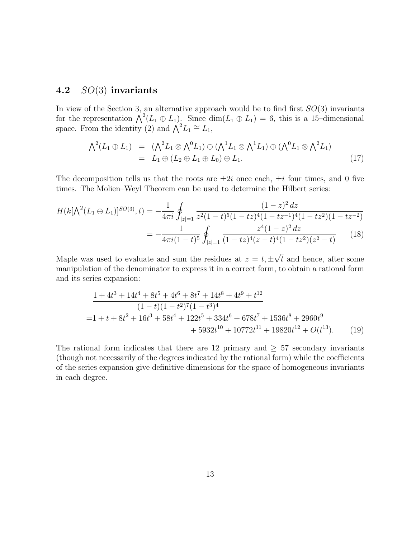### 4.2 SO(3) invariants

In view of the Section 3, an alternative approach would be to find first  $SO(3)$  invariants for the representation  $\bigwedge^2 (L_1 \oplus L_1)$ . Since  $\dim(L_1 \oplus L_1) = 6$ , this is a 15-dimensional space. From the identity (2) and  $\bigwedge^2 L_1 \cong L_1$ ,

$$
\Lambda^2(L_1 \oplus L_1) = (\Lambda^2 L_1 \otimes \Lambda^0 L_1) \oplus (\Lambda^1 L_1 \otimes \Lambda^1 L_1) \oplus (\Lambda^0 L_1 \otimes \Lambda^2 L_1)
$$
  
=  $L_1 \oplus (L_2 \oplus L_1 \oplus L_0) \oplus L_1.$  (17)

The decomposition tells us that the roots are  $\pm 2i$  once each,  $\pm i$  four times, and 0 five times. The Molien–Weyl Theorem can be used to determine the Hilbert series:

$$
H(k[\Lambda^{2}(L_{1} \oplus L_{1})]^{SO(3)}, t) = -\frac{1}{4\pi i} \oint_{|z|=1} \frac{(1-z)^{2} dz}{z^{2}(1-t)^{5}(1-tz)^{4}(1-tz^{-1})^{4}(1-tz^{2})(1-tz^{-2})}
$$
  
= 
$$
-\frac{1}{4\pi i(1-t)^{5}} \oint_{|z|=1} \frac{z^{4}(1-z)^{2} dz}{(1-tz)^{4}(z-t)^{4}(1-tz^{2})(z^{2}-t)}
$$
(18)

Maple was used to evaluate and sum the residues at  $z = t, \pm$ √ t and hence, after some manipulation of the denominator to express it in a correct form, to obtain a rational form and its series expansion:

$$
\frac{1+4t^3+14t^4+8t^5+4t^6+8t^7+14t^8+4t^9+t^{12}}{(1-t)(1-t^2)^7(1-t^3)^4}
$$
  
=1+t+8t^2+16t^3+58t^4+122t^5+334t^6+678t^7+1536t^8+2960t^9  
+5932t^{10}+10772t^{11}+19820t^{12}+O(t^{13}). (19)

The rational form indicates that there are 12 primary and  $\geq$  57 secondary invariants (though not necessarily of the degrees indicated by the rational form) while the coefficients of the series expansion give definitive dimensions for the space of homogeneous invariants in each degree.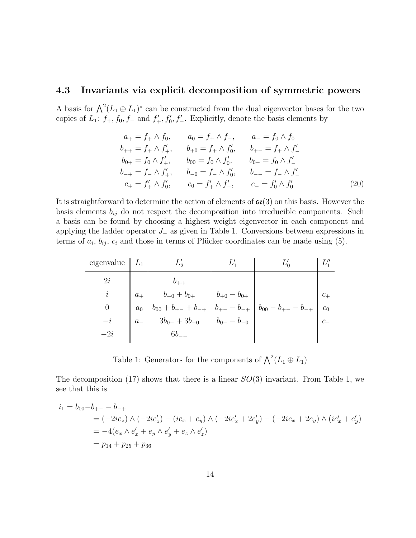### 4.3 Invariants via explicit decomposition of symmetric powers

A basis for  $\bigwedge^2 (L_1 \oplus L_1)^*$  can be constructed from the dual eigenvector bases for the two copies of  $L_1$ :  $f_+, f_0, f_-\text{ and } f'_+, f'_0, f'_-$ . Explicitly, denote the basis elements by

$$
a_{+} = f_{+} \wedge f_{0}, \qquad a_{0} = f_{+} \wedge f_{-}, \qquad a_{-} = f_{0} \wedge f_{0}
$$
  
\n
$$
b_{++} = f_{+} \wedge f'_{+}, \qquad b_{+0} = f_{+} \wedge f'_{0}, \qquad b_{+-} = f_{+} \wedge f'_{-}
$$
  
\n
$$
b_{0+} = f_{0} \wedge f'_{+}, \qquad b_{00} = f_{0} \wedge f'_{0}, \qquad b_{0-} = f_{0} \wedge f'_{-}
$$
  
\n
$$
b_{-+} = f_{-} \wedge f'_{+}, \qquad b_{-0} = f_{-} \wedge f'_{0}, \qquad b_{--} = f_{-} \wedge f'_{-}
$$
  
\n
$$
c_{+} = f'_{+} \wedge f'_{0}, \qquad c_{0} = f'_{+} \wedge f'_{-}, \qquad c_{-} = f'_{0} \wedge f'_{0}
$$
  
\n(20)

It is straightforward to determine the action of elements of  $\mathfrak{se}(3)$  on this basis. However the basis elements  $b_{ij}$  do not respect the decomposition into irreducible components. Such a basis can be found by choosing a highest weight eigenvector in each component and applying the ladder operator  $J_-\$ as given in Table 1. Conversions between expressions in terms of  $a_i$ ,  $b_{ij}$ ,  $c_i$  and those in terms of Plücker coordinates can be made using (5).

| eigenvalue $\parallel L_1 \parallel$ |  |                                                                                                                                                                                                                                                                                                                                                                              |                |
|--------------------------------------|--|------------------------------------------------------------------------------------------------------------------------------------------------------------------------------------------------------------------------------------------------------------------------------------------------------------------------------------------------------------------------------|----------------|
| 2i                                   |  |                                                                                                                                                                                                                                                                                                                                                                              |                |
|                                      |  |                                                                                                                                                                                                                                                                                                                                                                              |                |
| $\theta$                             |  |                                                                                                                                                                                                                                                                                                                                                                              | c <sub>0</sub> |
|                                      |  |                                                                                                                                                                                                                                                                                                                                                                              | $c_{-}$        |
|                                      |  | $\begin{array}{c c c} & b_{+0}+b_{0+} & b_{+0}-b_{0+} \\ & b_{00}+b_{+-}+b_{-+} & b_{+-}-b_{-+} \\ & 3b_{0-}+3b_{-0} & b_{0-}-b_{-0} \\ & 6b_{--} & & \end{array} \Bigg  \begin{array}{c} b_{+0}-b_{0+} & b_{00}-b_{+-}-b_{-+} \\ & b_{00}-b_{+-}-b_{-+} \\ & 0 & 0 \\ \end{array} \Bigg  \begin{array}{c} b_{-0} & b_{-0} & b_{-0} \\ & b_{-0} & b_{-0} \\ & 0 & 0 \\ \end$ |                |

Table 1: Generators for the components of  $\bigwedge^2 (L_1 \oplus L_1)$ 

The decomposition (17) shows that there is a linear  $SO(3)$  invariant. From Table 1, we see that this is

$$
i_1 = b_{00} - b_{+-} - b_{-+}
$$
  
= (-2ie<sub>z</sub>)  $\wedge$  (-2ie'<sub>z</sub>) - (ie<sub>x</sub> + e<sub>y</sub>)  $\wedge$  (-2ie'<sub>x</sub> + 2e'<sub>y</sub>) - (-2ie<sub>x</sub> + 2e<sub>y</sub>)  $\wedge$  (ie'<sub>x</sub> + e'<sub>y</sub>)  
= -4(e<sub>x</sub>  $\wedge$  e'<sub>x</sub> + e<sub>y</sub>  $\wedge$  e'<sub>y</sub> + e<sub>z</sub>  $\wedge$  e'<sub>z</sub>)  
= p<sub>14</sub> + p<sub>25</sub> + p<sub>36</sub>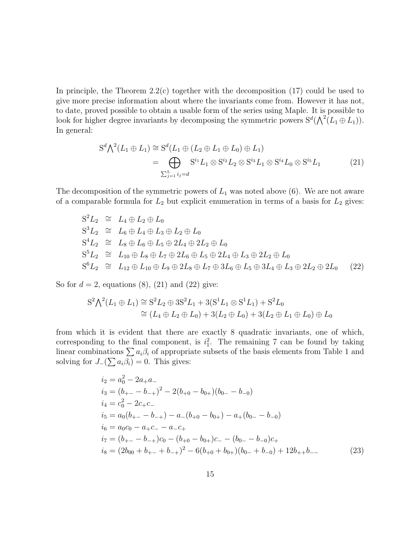In principle, the Theorem  $2.2(c)$  together with the decomposition  $(17)$  could be used to give more precise information about where the invariants come from. However it has not, to date, proved possible to obtain a usable form of the series using Maple. It is possible to look for higher degree invariants by decomposing the symmetric powers  $S^d(\bigwedge^2(L_1 \oplus L_1))$ . In general:

$$
S^{d}\bigwedge^{2}(L_{1}\oplus L_{1})\cong S^{d}(L_{1}\oplus (L_{2}\oplus L_{1}\oplus L_{0})\oplus L_{1})
$$
  
= 
$$
\bigoplus_{\sum_{j=1}^{5}i_{j}=d}S^{i_{1}}L_{1}\otimes S^{i_{2}}L_{2}\otimes S^{i_{3}}L_{1}\otimes S^{i_{4}}L_{0}\otimes S^{i_{5}}L_{1}
$$
 (21)

The decomposition of the symmetric powers of  $L_1$  was noted above (6). We are not aware of a comparable formula for  $L_2$  but explicit enumeration in terms of a basis for  $L_2$  gives:

$$
S^2L_2 \cong L_4 \oplus L_2 \oplus L_0
$$
  
\n
$$
S^3L_2 \cong L_6 \oplus L_4 \oplus L_3 \oplus L_2 \oplus L_0
$$
  
\n
$$
S^4L_2 \cong L_8 \oplus L_6 \oplus L_5 \oplus 2L_4 \oplus 2L_2 \oplus L_0
$$
  
\n
$$
S^5L_2 \cong L_{10} \oplus L_8 \oplus L_7 \oplus 2L_6 \oplus L_5 \oplus 2L_4 \oplus L_3 \oplus 2L_2 \oplus L_0
$$
  
\n
$$
S^6L_2 \cong L_{12} \oplus L_{10} \oplus L_9 \oplus 2L_8 \oplus L_7 \oplus 3L_6 \oplus L_5 \oplus 3L_4 \oplus L_3 \oplus 2L_2 \oplus 2L_0
$$
 (22)

So for  $d = 2$ , equations (8), (21) and (22) give:

$$
S^{2} \Lambda^{2}(L_{1} \oplus L_{1}) \cong S^{2} L_{2} \oplus 3S^{2} L_{1} + 3(S^{1} L_{1} \otimes S^{1} L_{1}) + S^{2} L_{0}
$$
  
\n
$$
\cong (L_{4} \oplus L_{2} \oplus L_{0}) + 3(L_{2} \oplus L_{0}) + 3(L_{2} \oplus L_{1} \oplus L_{0}) \oplus L_{0}
$$

from which it is evident that there are exactly 8 quadratic invariants, one of which, corresponding to the final component, is  $i_1^2$ . The remaining 7 can be found by taking linear combinations  $\sum a_i\beta_i$  of appropriate subsets of the basis elements from Table 1 and solving for  $J_{-}(\sum a_i \beta_i) = 0$ . This gives:

$$
i_2 = a_0^2 - 2a_+a_-\n i_3 = (b_{+-} - b_{-+})^2 - 2(b_{+0} - b_{0+})(b_{0-} - b_{-0})\n i_4 = c_0^2 - 2c_+c_-\n i_5 = a_0(b_{+-} - b_{-+}) - a_-(b_{+0} - b_{0+}) - a_+(b_{0-} - b_{-0})\n i_6 = a_0c_0 - a_+c_- - a_-c_+\n i_7 = (b_{+-} - b_{-+})c_0 - (b_{+0} - b_{0+})c_- - (b_{0-} - b_{-0})c_+\n i_8 = (2b_{00} + b_{+-} + b_{-+})^2 - 6(b_{+0} + b_{0+})(b_{0-} + b_{-0}) + 12b_{++}b_-
$$
\n(23)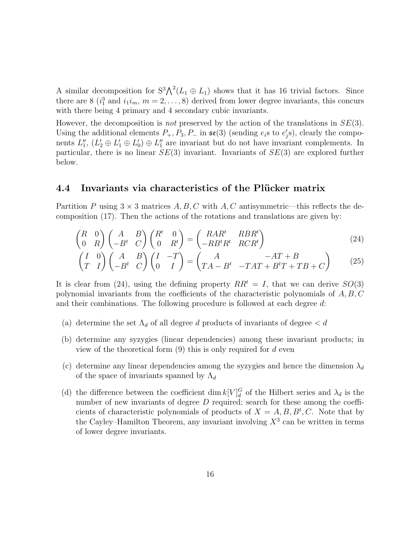A similar decomposition for  $S^3 \Lambda^2 (L_1 \oplus L_1)$  shows that it has 16 trivial factors. Since there are 8 ( $i_1^3$  and  $i_1i_m$ ,  $m = 2, \ldots, 8$ ) derived from lower degree invariants, this concurs with there being 4 primary and 4 secondary cubic invariants.

However, the decomposition is *not* preserved by the action of the translations in  $SE(3)$ . Using the additional elements  $P_+, P_3, P_-$  in  $\mathfrak{se}(3)$  (sending  $e_i$ s to  $e'_j$ s), clearly the components  $L''_1$ ,  $(L'_2 \oplus L'_1 \oplus L'_0) \oplus L''_1$  are invariant but do not have invariant complements. In particular, there is no linear  $SE(3)$  invariant. Invariants of  $SE(3)$  are explored further below.

### 4.4 Invariants via characteristics of the Plücker matrix

Partition P using  $3 \times 3$  matrices A, B, C with A, C antisymmetric—this reflects the decomposition (17). Then the actions of the rotations and translations are given by:

$$
\begin{pmatrix} R & 0 \\ 0 & R \end{pmatrix} \begin{pmatrix} A & B \\ -B^t & C \end{pmatrix} \begin{pmatrix} R^t & 0 \\ 0 & R^t \end{pmatrix} = \begin{pmatrix} RAR^t & RBR^t \\ -RB^tR^t & RCR^t \end{pmatrix}
$$
(24)

$$
\begin{pmatrix} I & 0 \ T & I \end{pmatrix} \begin{pmatrix} A & B \ -B^t & C \end{pmatrix} \begin{pmatrix} I & -T \ 0 & I \end{pmatrix} = \begin{pmatrix} A & -AT + B \ TA - B^t & -TAT + B^tT + TB + C \end{pmatrix}
$$
(25)

It is clear from (24), using the defining property  $RR<sup>t</sup> = I$ , that we can derive  $SO(3)$ polynomial invariants from the coefficients of the characteristic polynomials of  $A, B, C$ and their combinations. The following procedure is followed at each degree d:

- (a) determine the set  $\Lambda_d$  of all degree d products of invariants of degree  $d$
- (b) determine any syzygies (linear dependencies) among these invariant products; in view of the theoretical form  $(9)$  this is only required for d even
- (c) determine any linear dependencies among the syzygies and hence the dimension  $\lambda_d$ of the space of invariants spanned by  $\Lambda_d$
- (d) the difference between the coefficient  $\dim k[V]_d^G$  of the Hilbert series and  $\lambda_d$  is the number of new invariants of degree  $D$  required; search for these among the coefficients of characteristic polynomials of products of  $X = A, B, B^t, C$ . Note that by the Cayley–Hamilton Theorem, any invariant involving  $X^3$  can be written in terms of lower degree invariants.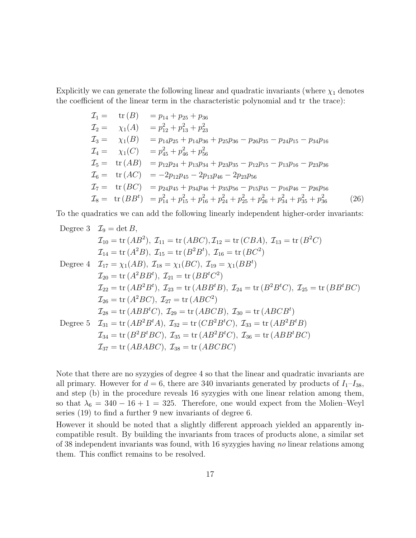Explicitly we can generate the following linear and quadratic invariants (where  $\chi_1$  denotes the coefficient of the linear term in the characteristic polynomial and tr the trace):

$$
T_1 = \text{tr}(B) = p_{14} + p_{25} + p_{36}
$$
  
\n
$$
T_2 = \chi_1(A) = p_{12}^2 + p_{13}^2 + p_{23}^2
$$
  
\n
$$
T_3 = \chi_1(B) = p_{14}p_{25} + p_{14}p_{36} + p_{25}p_{36} - p_{26}p_{35} - p_{24}p_{15} - p_{34}p_{16}
$$
  
\n
$$
T_4 = \chi_1(C) = p_{45}^2 + p_{46}^2 + p_{56}^2
$$
  
\n
$$
T_5 = \text{tr}(AB) = p_{12}p_{24} + p_{13}p_{34} + p_{23}p_{35} - p_{12}p_{15} - p_{13}p_{16} - p_{23}p_{36}
$$
  
\n
$$
T_6 = \text{tr}(AC) = -2p_{12}p_{45} - 2p_{13}p_{46} - 2p_{23}p_{56}
$$
  
\n
$$
T_7 = \text{tr}(BC) = p_{24}p_{45} + p_{34}p_{46} + p_{35}p_{56} - p_{15}p_{45} - p_{16}p_{46} - p_{26}p_{56}
$$
  
\n
$$
T_8 = \text{tr}(BB^t) = p_{14}^2 + p_{15}^2 + p_{16}^2 + p_{24}^2 + p_{25}^2 + p_{26}^2 + p_{34}^2 + p_{35}^2 + p_{36}^2
$$
(26)

To the quadratics we can add the following linearly independent higher-order invariants:

Degree 3 
$$
\mathcal{I}_9 = \det B
$$
,  
\n $\mathcal{I}_{10} = \text{tr}(AB^2)$ ,  $\mathcal{I}_{11} = \text{tr}(ABC)$ ,  $\mathcal{I}_{12} = \text{tr}(CBA)$ ,  $\mathcal{I}_{13} = \text{tr}(B^2C)$   
\n $\mathcal{I}_{14} = \text{tr}(A^2B)$ ,  $\mathcal{I}_{15} = \text{tr}(B^2B^t)$ ,  $\mathcal{I}_{16} = \text{tr}(BC^2)$   
\nDegree 4  $\mathcal{I}_{17} = \chi_1(AB)$ ,  $\mathcal{I}_{18} = \chi_1(BC)$ ,  $\mathcal{I}_{19} = \chi_1(BB^t)$   
\n $\mathcal{I}_{20} = \text{tr}(A^2BB^t)$ ,  $\mathcal{I}_{21} = \text{tr}(BB^tC^2)$   
\n $\mathcal{I}_{22} = \text{tr}(AB^2B^t)$ ,  $\mathcal{I}_{23} = \text{tr}(ABB^tB)$ ,  $\mathcal{I}_{24} = \text{tr}(B^2BC)$ ,  $\mathcal{I}_{25} = \text{tr}(BB^tBC)$   
\n $\mathcal{I}_{26} = \text{tr}(A^2BC)$ ,  $\mathcal{I}_{27} = \text{tr}(ABC^2)$   
\n $\mathcal{I}_{28} = \text{tr}(ABB^tC)$ ,  $\mathcal{I}_{29} = \text{tr}(ABCB)$ ,  $\mathcal{I}_{30} = \text{tr}(ABCB^t)$   
\nDegree 5  $\mathcal{I}_{31} = \text{tr}(AB^2B^tA)$ ,  $\mathcal{I}_{32} = \text{tr}(CB^2B^tC)$ ,  $\mathcal{I}_{33} = \text{tr}(AB^2B^tB)$   
\n $\mathcal{I}_{34} = \text{tr}(B^2B^tBC)$ ,  $\mathcal{I}_{35} = \text{tr}(AB^2B^tC)$ ,  $\mathcal{I}_{36} = \text{tr}(ABB^tBC)$   
\n $\mathcal{I}_{37} = \text{tr}(ABABC)$ ,  $\mathcal{I}_{38} = \text{tr}(ABCBC)$ 

Note that there are no syzygies of degree 4 so that the linear and quadratic invariants are all primary. However for  $d = 6$ , there are 340 invariants generated by products of  $I_1-I_{38}$ , and step (b) in the procedure reveals 16 syzygies with one linear relation among them, so that  $\lambda_6 = 340 - 16 + 1 = 325$ . Therefore, one would expect from the Molien–Weyl series (19) to find a further 9 new invariants of degree 6.

However it should be noted that a slightly different approach yielded an apparently incompatible result. By building the invariants from traces of products alone, a similar set of 38 independent invariants was found, with 16 syzygies having no linear relations among them. This conflict remains to be resolved.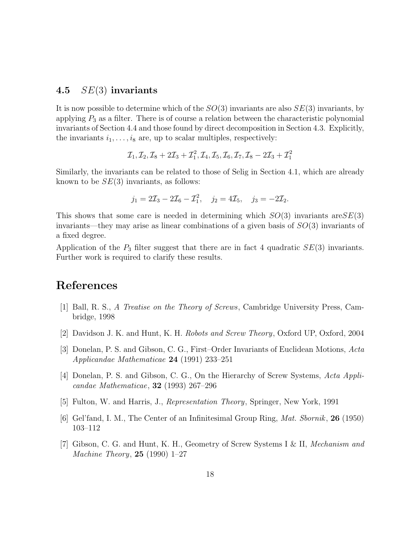### 4.5  $SE(3)$  invariants

It is now possible to determine which of the  $SO(3)$  invariants are also  $SE(3)$  invariants, by applying  $P_3$  as a filter. There is of course a relation between the characteristic polynomial invariants of Section 4.4 and those found by direct decomposition in Section 4.3. Explicitly, the invariants  $i_1, \ldots, i_8$  are, up to scalar multiples, respectively:

$$
\mathcal{I}_1,\mathcal{I}_2,\mathcal{I}_8+2\mathcal{I}_3+\mathcal{I}_1^2,\mathcal{I}_4,\mathcal{I}_5,\mathcal{I}_6,\mathcal{I}_7,\mathcal{I}_8-2\mathcal{I}_3+\mathcal{I}_1^2
$$

Similarly, the invariants can be related to those of Selig in Section 4.1, which are already known to be  $SE(3)$  invariants, as follows:

$$
j_1 = 2\mathcal{I}_3 - 2\mathcal{I}_6 - \mathcal{I}_1^2
$$
,  $j_2 = 4\mathcal{I}_5$ ,  $j_3 = -2\mathcal{I}_2$ .

This shows that some care is needed in determining which  $SO(3)$  invariants are  $SE(3)$ invariants—they may arise as linear combinations of a given basis of  $SO(3)$  invariants of a fixed degree.

Application of the  $P_3$  filter suggest that there are in fact 4 quadratic  $SE(3)$  invariants. Further work is required to clarify these results.

# References

- [1] Ball, R. S., A Treatise on the Theory of Screws, Cambridge University Press, Cambridge, 1998
- [2] Davidson J. K. and Hunt, K. H. Robots and Screw Theory, Oxford UP, Oxford, 2004
- [3] Donelan, P. S. and Gibson, C. G., First–Order Invariants of Euclidean Motions, Acta Applicandae Mathematicae 24 (1991) 233–251
- [4] Donelan, P. S. and Gibson, C. G., On the Hierarchy of Screw Systems, Acta Applicandae Mathematicae, 32 (1993) 267–296
- [5] Fulton, W. and Harris, J., Representation Theory, Springer, New York, 1991
- [6] Gel'fand, I. M., The Center of an Infinitesimal Group Ring, Mat. Sbornik, 26 (1950) 103–112
- [7] Gibson, C. G. and Hunt, K. H., Geometry of Screw Systems I & II, Mechanism and Machine Theory, 25 (1990) 1–27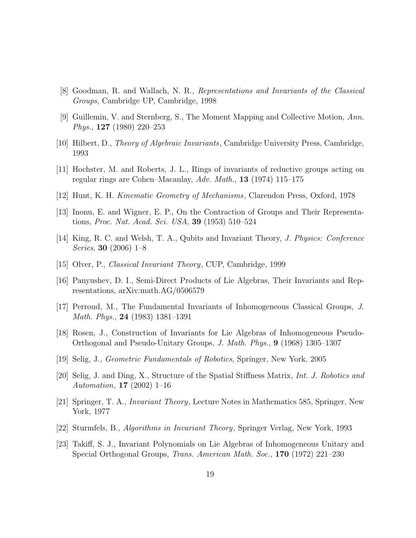- [8] Goodman, R. and Wallach, N. R., Representations and Invariants of the Classical Groups, Cambridge UP, Cambridge, 1998
- [9] Guillemin, V. and Sternberg, S., The Moment Mapping and Collective Motion, Ann. Phys., 127 (1980) 220–253
- [10] Hilbert, D., Theory of Algebraic Invariants, Cambridge University Press, Cambridge, 1993
- [11] Hochster, M. and Roberts, J. L., Rings of invariants of reductive groups acting on regular rings are Cohen–Macaulay, Adv. Math., 13 (1974) 115–175
- [12] Hunt, K. H. Kinematic Geometry of Mechanisms, Clarendon Press, Oxford, 1978
- [13] Inonu, E. and Wigner, E. P., On the Contraction of Groups and Their Representations, Proc. Nat. Acad. Sci. USA, 39 (1953) 510–524
- [14] King, R. C. and Welsh, T. A., Qubits and Invariant Theory, J. Physics: Conference Series, 30 (2006) 1–8
- [15] Olver, P., Classical Invariant Theory, CUP, Cambridge, 1999
- [16] Panyushev, D. I., Semi-Direct Products of Lie Algebras, Their Invariants and Representations, arXiv:math.AG/0506579
- [17] Perroud, M., The Fundamental Invariants of Inhomogeneous Classical Groups, J. Math. Phys., 24 (1983) 1381–1391
- [18] Rosen, J., Construction of Invariants for Lie Algebras of Inhomogeneous Pseudo-Orthogonal and Pseudo-Unitary Groups, J. Math. Phys., 9 (1968) 1305–1307
- [19] Selig, J., Geometric Fundamentals of Robotics, Springer, New York, 2005
- [20] Selig, J. and Ding, X., Structure of the Spatial Stiffness Matrix, Int. J. Robotics and Automation, 17 (2002) 1–16
- [21] Springer, T. A., Invariant Theory, Lecture Notes in Mathematics 585, Springer, New York, 1977
- [22] Sturmfels, B., Algorithms in Invariant Theory, Springer Verlag, New York, 1993
- [23] Takiff, S. J., Invariant Polynomials on Lie Algebras of Inhomogeneous Unitary and Special Orthogonal Groups, Trans. American Math. Soc., 170 (1972) 221–230